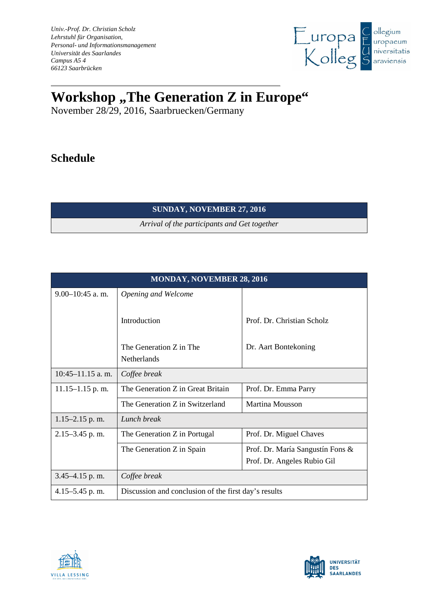*Univ.-Prof. Dr. Christian Scholz Lehrstuhl für Organisation, Personal- und Informationsmanagement Universität des Saarlandes Campus A5 4 66123 Saarbrücken*



## **Workshop**,, The Generation Z in Europe"

November 28/29, 2016, Saarbruecken/Germany

## **Schedule**

## **SUNDAY, NOVEMBER 27, 2016**

*Arrival of the participants and Get together* 

| <b>MONDAY, NOVEMBER 28, 2016</b> |                                                      |                                  |  |
|----------------------------------|------------------------------------------------------|----------------------------------|--|
| $9.00 - 10:45$ a.m.              | Opening and Welcome                                  |                                  |  |
|                                  | Introduction                                         | Prof. Dr. Christian Scholz       |  |
|                                  | The Generation Z in The<br><b>Netherlands</b>        | Dr. Aart Bontekoning             |  |
| $10:45-11.15$ a.m.               | Coffee break                                         |                                  |  |
| $11.15 - 1.15$ p.m.              | The Generation Z in Great Britain                    | Prof. Dr. Emma Parry             |  |
|                                  | The Generation Z in Switzerland                      | Martina Mousson                  |  |
| 1.15-2.15 p.m.                   | Lunch break                                          |                                  |  |
| $2.15 - 3.45$ p.m.               | The Generation Z in Portugal                         | Prof. Dr. Miguel Chaves          |  |
|                                  | The Generation Z in Spain                            | Prof. Dr. María Sangustín Fons & |  |
|                                  |                                                      | Prof. Dr. Angeles Rubio Gil      |  |
| $3.45 - 4.15$ p.m.               | Coffee break                                         |                                  |  |
| $4.15 - 5.45$ p.m.               | Discussion and conclusion of the first day's results |                                  |  |